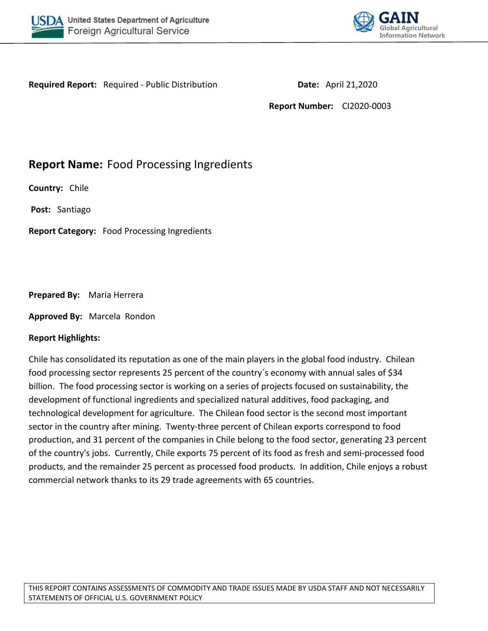



**Required Report:** Required - Public Distribution **Date:** April 21,2020

**Report Number:** CI2020-0003

# **Report Name:** Food Processing Ingredients

**Country:** Chile

**Post:** Santiago

**Report Category:** Food Processing Ingredients

#### **Prepared By:** Maria Herrera

**Approved By:** Marcela Rondon

#### **Report Highlights:**

Chile has consolidated its reputation as one of the main players in the global food industry. Chilean food processing sector represents 25 percent of the country´s economy with annual sales of \$34 billion. The food processing sector is working on a series of projects focused on sustainability, the development of functional ingredients and specialized natural additives, food packaging, and technological development for agriculture. The Chilean food sector is the second most important sector in the country after mining. Twenty-three percent of Chilean exports correspond to food production, and 31 percent of the companies in Chile belong to the food sector, generating 23 percent of the country's jobs. Currently, Chile exports 75 percent of its food as fresh and semi-processed food products, and the remainder 25 percent as processed food products. In addition, Chile enjoys a robust commercial network thanks to its 29 trade agreements with 65 countries.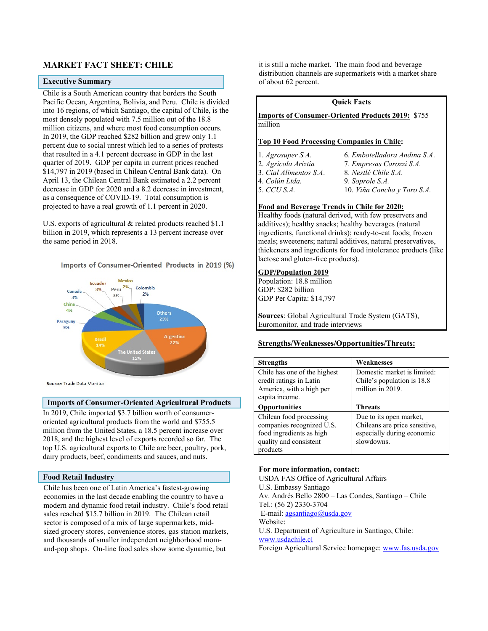#### **MARKET FACT SHEET: CHILE**

#### **Executive Summary**

Chile is a South American country that borders the South Pacific Ocean, Argentina, Bolivia, and Peru. Chile is divided into 16 regions, of which Santiago, the capital of Chile, is the most densely populated with 7.5 million out of the 18.8 million citizens, and where most food consumption occurs. In 2019, the GDP reached \$282 billion and grew only 1.1 percent due to social unrest which led to a series of protests that resulted in a 4.1 percent decrease in GDP in the last quarter of 2019. GDP per capita in current prices reached \$14,797 in 2019 (based in Chilean Central Bank data). On April 13, the Chilean Central Bank estimated a 2.2 percent decrease in GDP for 2020 and a 8.2 decrease in investment, as a consequence of COVID-19. Total consumption is projected to have a real growth of 1.1 percent in 2020.

U.S. exports of agricultural & related products reached \$1.1 billion in 2019, which represents a 13 percent increase over the same period in 2018.

#### Imports of Consumer-Oriented Products in 2019 (%)



Source: Trade Data Monitor

#### **Imports of Consumer-Oriented Agricultural Products**

In 2019, Chile imported \$3.7 billion worth of consumeroriented agricultural products from the world and \$755.5 million from the United States, a 18.5 percent increase over 2018, and the highest level of exports recorded so far. The top U.S. agricultural exports to Chile are beer, poultry, pork, dairy products, beef, condiments and sauces, and nuts.

#### **Food Retail Industry**

Chile has been one of Latin America's fastest-growing economies in the last decade enabling the country to have a modern and dynamic food retail industry. Chile's food retail sales reached \$15.7 billion in 2019. The Chilean retail sector is composed of a mix of large supermarkets, midsized grocery stores, convenience stores, gas station markets, and thousands of smaller independent neighborhood momand-pop shops. On-line food sales show some dynamic, but

it is still a niche market. The main food and beverage distribution channels are supermarkets with a market share of about 62 percent.

#### **Quick Facts**

**Imports of Consumer-Oriented Products 2019:** \$755 million

#### **Top 10 Food Processing Companies in Chile:**

- 
- 
- 1. *Agrosuper S.A.* 6. *Embotelladora Andina S.A*. 2. *Agrícola Ariztía* 7. *Empresas Carozzi S.A.*
- 3. *Cial Alimentos S.A*. 8. *Nestlé Chile S.A.*
	-
- 
- 4. *Colún Ltda.* 9. *Soprole S.A.*
- 5. *CCU S.A.* 10. *Viña Concha y Toro S.A.*

#### **Food and Beverage Trends in Chile for 2020:**

Healthy foods (natural derived, with few preservers and additives); healthy snacks; healthy beverages (natural ingredients, functional drinks); ready-to-eat foods; frozen meals; sweeteners; natural additives, natural preservatives, thickeners and ingredients for food intolerance products (like lactose and gluten-free products).

#### **GDP/Population 2019**

Population: 18.8 million GDP: \$282 billion GDP Per Capita: \$14,797

**Sources**: Global Agricultural Trade System (GATS), Euromonitor, and trade interviews

#### **Strengths/Weaknesses/Opportunities/Threats:**

| <b>Strengths</b>                                                                                                       | Weaknesses                                                                                           |
|------------------------------------------------------------------------------------------------------------------------|------------------------------------------------------------------------------------------------------|
| Chile has one of the highest<br>credit ratings in Latin<br>America, with a high per<br>capita income.                  | Domestic market is limited:<br>Chile's population is 18.8<br>million in 2019.                        |
| <b>Opportunities</b>                                                                                                   | <b>Threats</b>                                                                                       |
| Chilean food processing<br>companies recognized U.S.<br>food ingredients as high<br>quality and consistent<br>products | Due to its open market,<br>Chileans are price sensitive,<br>especially during economic<br>slowdowns. |

#### **For more information, contact:**

USDA FAS Office of Agricultural Affairs U.S. Embassy Santiago Av. Andrés Bello 2800 – Las Condes, Santiago – Chile Tel.: (56 2) 2330-3704 E-mail:  $a$ gsantiago@usda.gov Website: U.S. Department of Agriculture in Santiago, Chile: [www.usdachile.cl](http://www.usdachile.cl/) Foreign Agricultural Service homepage: [www.fas.usda.gov](http://www.fas.usda.gov/)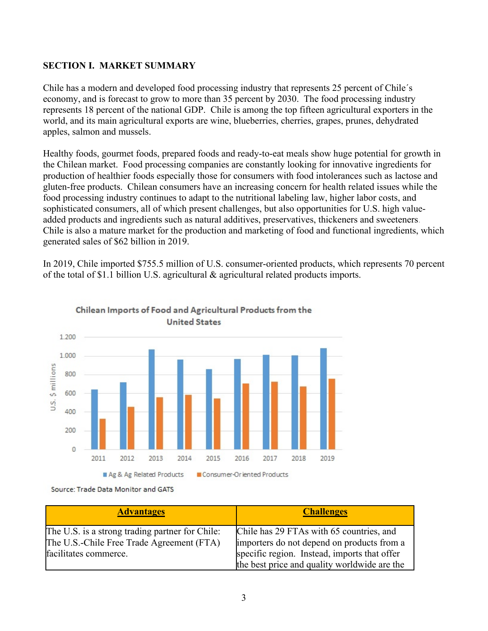### **SECTION I. MARKET SUMMARY**

Chile has a modern and developed food processing industry that represents 25 percent of Chile´s economy, and is forecast to grow to more than 35 percent by 2030. The food processing industry represents 18 percent of the national GDP. Chile is among the top fifteen agricultural exporters in the world, and its main agricultural exports are wine, blueberries, cherries, grapes, prunes, dehydrated apples, salmon and mussels.

Healthy foods, gourmet foods, prepared foods and ready-to-eat meals show huge potential for growth in the Chilean market. Food processing companies are constantly looking for innovative ingredients for production of healthier foods especially those for consumers with food intolerances such as lactose and gluten-free products. Chilean consumers have an increasing concern for health related issues while the food processing industry continues to adapt to the nutritional labeling law, higher labor costs, and sophisticated consumers, all of which present challenges, but also opportunities for U.S. high valueadded products and ingredients such as natural additives, preservatives, thickeners and sweeteners. Chile is also a mature market for the production and marketing of food and functional ingredients, which generated sales of \$62 billion in 2019.

In 2019, Chile imported \$755.5 million of U.S. consumer-oriented products, which represents 70 percent of the total of \$1.1 billion U.S. agricultural  $\&$  agricultural related products imports.



### Chilean Imports of Food and Agricultural Products from the **United States**

Source: Trade Data Monitor and GATS

| <b>Advantages</b>                                                                                                     | <b>Challenges</b>                                                                                                                      |
|-----------------------------------------------------------------------------------------------------------------------|----------------------------------------------------------------------------------------------------------------------------------------|
| The U.S. is a strong trading partner for Chile:<br>The U.S.-Chile Free Trade Agreement (FTA)<br>facilitates commerce. | Chile has 29 FTAs with 65 countries, and<br>importers do not depend on products from a<br>specific region. Instead, imports that offer |
|                                                                                                                       | the best price and quality worldwide are the                                                                                           |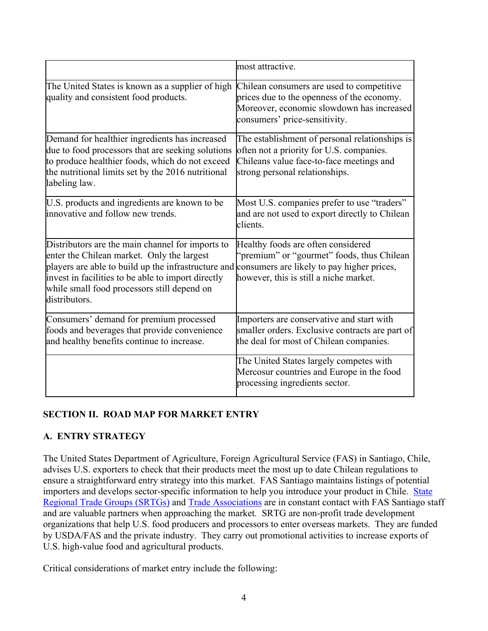|                                                                                                                                                                                                                                                                             | most attractive.                                                                                                                                                         |
|-----------------------------------------------------------------------------------------------------------------------------------------------------------------------------------------------------------------------------------------------------------------------------|--------------------------------------------------------------------------------------------------------------------------------------------------------------------------|
| The United States is known as a supplier of high<br>quality and consistent food products.                                                                                                                                                                                   | Chilean consumers are used to competitive<br>prices due to the openness of the economy.<br>Moreover, economic slowdown has increased<br>consumers' price-sensitivity.    |
| Demand for healthier ingredients has increased<br>due to food processors that are seeking solutions<br>to produce healthier foods, which do not exceed<br>the nutritional limits set by the 2016 nutritional<br>labeling law.                                               | The establishment of personal relationships is<br>often not a priority for U.S. companies.<br>Chileans value face-to-face meetings and<br>strong personal relationships. |
| U.S. products and ingredients are known to be<br>innovative and follow new trends.                                                                                                                                                                                          | Most U.S. companies prefer to use "traders"<br>and are not used to export directly to Chilean<br>clients.                                                                |
| Distributors are the main channel for imports to<br>enter the Chilean market. Only the largest<br>players are able to build up the infrastructure and<br>invest in facilities to be able to import directly<br>while small food processors still depend on<br>distributors. | Healthy foods are often considered<br>"premium" or "gourmet" foods, thus Chilean<br>consumers are likely to pay higher prices,<br>however, this is still a niche market. |
| Consumers' demand for premium processed<br>foods and beverages that provide convenience<br>and healthy benefits continue to increase.                                                                                                                                       | Importers are conservative and start with<br>smaller orders. Exclusive contracts are part of<br>the deal for most of Chilean companies.                                  |
|                                                                                                                                                                                                                                                                             | The United States largely competes with<br>Mercosur countries and Europe in the food<br>processing ingredients sector.                                                   |

### **SECTION II. ROAD MAP FOR MARKET ENTRY**

### **A. ENTRY STRATEGY**

The United States Department of Agriculture, Foreign Agricultural Service (FAS) in Santiago, Chile, advises U.S. exporters to check that their products meet the most up to date Chilean regulations to ensure a straightforward entry strategy into this market. FAS Santiago maintains listings of potential importers and develops sector-specific information to help you introduce your product in Chile. [State](https://www.fas.usda.gov/state-regional-trade-groups)  [Regional Trade Groups \(SRTGs\)](https://www.fas.usda.gov/state-regional-trade-groups) and [Trade Associations](https://apps.fas.usda.gov/pcd/PartnersSearch.aspx) are in constant contact with FAS Santiago staff and are valuable partners when approaching the market. SRTG are non-profit trade development organizations that help U.S. food producers and processors to enter overseas markets. They are funded by USDA/FAS and the private industry. They carry out promotional activities to increase exports of U.S. high-value food and agricultural products.

Critical considerations of market entry include the following: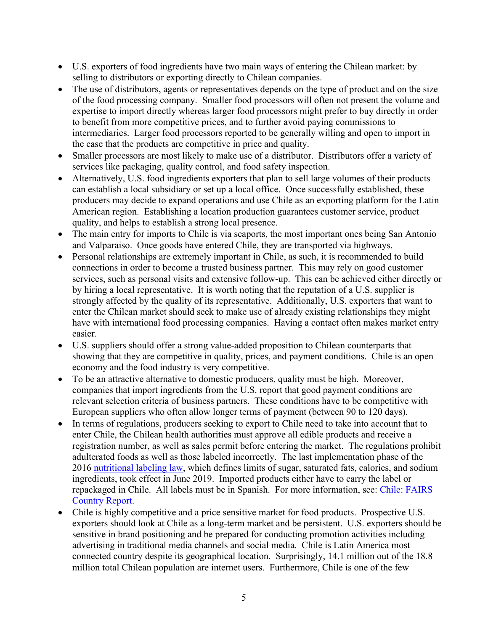- U.S. exporters of food ingredients have two main ways of entering the Chilean market: by selling to distributors or exporting directly to Chilean companies.
- The use of distributors, agents or representatives depends on the type of product and on the size of the food processing company. Smaller food processors will often not present the volume and expertise to import directly whereas larger food processors might prefer to buy directly in order to benefit from more competitive prices, and to further avoid paying commissions to intermediaries. Larger food processors reported to be generally willing and open to import in the case that the products are competitive in price and quality.
- Smaller processors are most likely to make use of a distributor. Distributors offer a variety of services like packaging, quality control, and food safety inspection.
- Alternatively, U.S. food ingredients exporters that plan to sell large volumes of their products can establish a local subsidiary or set up a local office. Once successfully established, these producers may decide to expand operations and use Chile as an exporting platform for the Latin American region. Establishing a location production guarantees customer service, product quality, and helps to establish a strong local presence.
- The main entry for imports to Chile is via seaports, the most important ones being San Antonio and Valparaiso. Once goods have entered Chile, they are transported via highways.
- Personal relationships are extremely important in Chile, as such, it is recommended to build connections in order to become a trusted business partner. This may rely on good customer services, such as personal visits and extensive follow-up. This can be achieved either directly or by hiring a local representative. It is worth noting that the reputation of a U.S. supplier is strongly affected by the quality of its representative. Additionally, U.S. exporters that want to enter the Chilean market should seek to make use of already existing relationships they might have with international food processing companies. Having a contact often makes market entry easier.
- U.S. suppliers should offer a strong value-added proposition to Chilean counterparts that showing that they are competitive in quality, prices, and payment conditions. Chile is an open economy and the food industry is very competitive.
- To be an attractive alternative to domestic producers, quality must be high. Moreover, companies that import ingredients from the U.S. report that good payment conditions are relevant selection criteria of business partners. These conditions have to be competitive with European suppliers who often allow longer terms of payment (between 90 to 120 days).
- In terms of regulations, producers seeking to export to Chile need to take into account that to enter Chile, the Chilean health authorities must approve all edible products and receive a registration number, as well as sales permit before entering the market. The regulations prohibit adulterated foods as well as those labeled incorrectly. The last implementation phase of the 2016 [nutritional labeling law,](https://gain.fas.usda.gov/Recent%20GAIN%20Publications/Chile) which defines limits of sugar, saturated fats, calories, and sodium ingredients, took effect in June 2019. Imported products either have to carry the label or repackaged in Chile. All labels must be in Spanish. For more information, see: Chile: FAIRS [Country Report.](https://www.fas.usda.gov/data/chile-fairs-country-report-5)
- Chile is highly competitive and a price sensitive market for food products. Prospective U.S. exporters should look at Chile as a long-term market and be persistent. U.S. exporters should be sensitive in brand positioning and be prepared for conducting promotion activities including advertising in traditional media channels and social media. Chile is Latin America most connected country despite its geographical location. Surprisingly, 14.1 million out of the 18.8 million total Chilean population are internet users. Furthermore, Chile is one of the few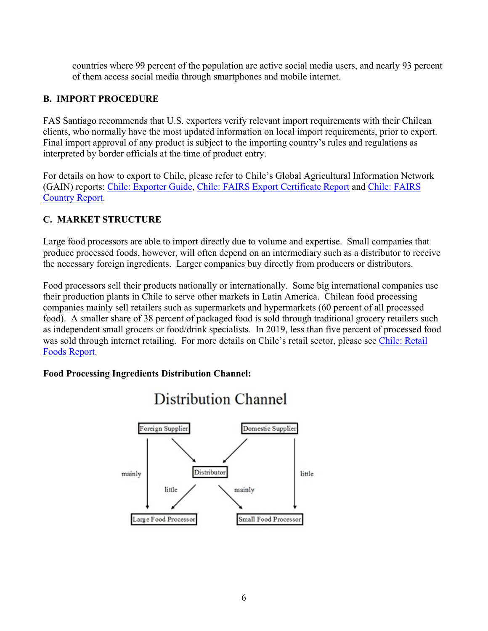countries where 99 percent of the population are active social media users, and nearly 93 percent of them access social media through smartphones and mobile internet.

### **B. IMPORT PROCEDURE**

FAS Santiago recommends that U.S. exporters verify relevant import requirements with their Chilean clients, who normally have the most updated information on local import requirements, prior to export. Final import approval of any product is subject to the importing country's rules and regulations as interpreted by border officials at the time of product entry.

For details on how to export to Chile, please refer to Chile's Global Agricultural Information Network (GAIN) reports: [Chile: Exporter Guide](https://www.fas.usda.gov/data/chile-exporter-guide-2), [Chile: FAIRS Export Certificate Report](https://www.fas.usda.gov/data/chile-fairs-export-certificate-report-6) and [Chile: FAIRS](https://www.fas.usda.gov/data/chile-fairs-country-report-5)  [Country Report](https://www.fas.usda.gov/data/chile-fairs-country-report-5).

### **C. MARKET STRUCTURE**

Large food processors are able to import directly due to volume and expertise. Small companies that produce processed foods, however, will often depend on an intermediary such as a distributor to receive the necessary foreign ingredients. Larger companies buy directly from producers or distributors.

Food processors sell their products nationally or internationally. Some big international companies use their production plants in Chile to serve other markets in Latin America. Chilean food processing companies mainly sell retailers such as supermarkets and hypermarkets (60 percent of all processed food). A smaller share of 38 percent of packaged food is sold through traditional grocery retailers such as independent small grocers or food/drink specialists. In 2019, less than five percent of processed food was sold through internet retailing. For more details on Chile's retail sector, please see [Chile: Retail](https://www.fas.usda.gov/data/chile-retail-foods-2)  [Foods Report](https://www.fas.usda.gov/data/chile-retail-foods-2).

### **Food Processing Ingredients Distribution Channel:**



# **Distribution Channel**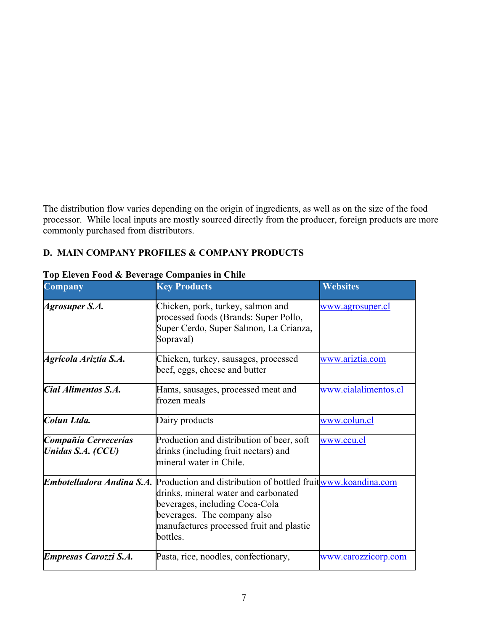The distribution flow varies depending on the origin of ingredients, as well as on the size of the food processor. While local inputs are mostly sourced directly from the producer, foreign products are more commonly purchased from distributors.

### **D. MAIN COMPANY PROFILES & COMPANY PRODUCTS**

| Company                                   | <b>Key Products</b>                                                                                                                                                                                                           | <b>Websites</b>      |
|-------------------------------------------|-------------------------------------------------------------------------------------------------------------------------------------------------------------------------------------------------------------------------------|----------------------|
| Agrosuper S.A.                            | Chicken, pork, turkey, salmon and<br>processed foods (Brands: Super Pollo,<br>Super Cerdo, Super Salmon, La Crianza,<br>Sopraval)                                                                                             | www.agrosuper.cl     |
| Agrícola Ariztía S.A.                     | Chicken, turkey, sausages, processed<br>beef, eggs, cheese and butter                                                                                                                                                         | www.ariztia.com      |
| Cial Alimentos S.A.                       | Hams, sausages, processed meat and<br>frozen meals                                                                                                                                                                            | www.cialalimentos.cl |
| Colun Ltda.                               | Dairy products                                                                                                                                                                                                                | www.colun.cl         |
| Compañía Cervecerías<br>Unidas S.A. (CCU) | Production and distribution of beer, soft<br>drinks (including fruit nectars) and<br>mineral water in Chile.                                                                                                                  | www.ccu.cl           |
| Embotelladora Andina S.A.                 | Production and distribution of bottled fruitwww.koandina.com<br>drinks, mineral water and carbonated<br>beverages, including Coca-Cola<br>beverages. The company also<br>manufactures processed fruit and plastic<br>bottles. |                      |
| <b>Empresas Carozzi S.A.</b>              | Pasta, rice, noodles, confectionary,                                                                                                                                                                                          | www.carozzicorp.com  |

### **Top Eleven Food & Beverage Companies in Chile**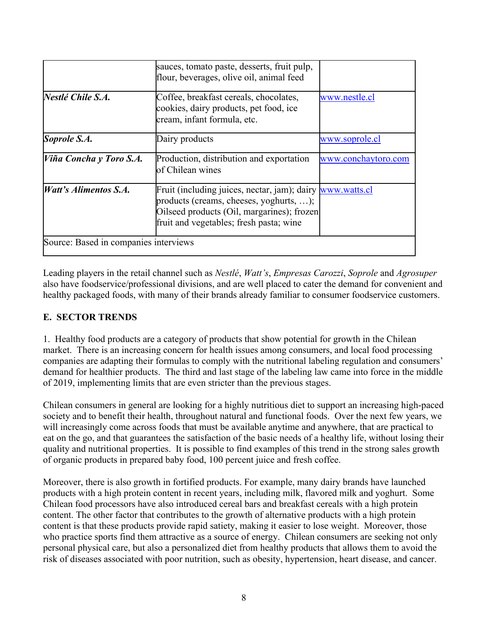|                                       | sauces, tomato paste, desserts, fruit pulp,<br>flour, beverages, olive oil, animal feed                                                                                                       |                     |
|---------------------------------------|-----------------------------------------------------------------------------------------------------------------------------------------------------------------------------------------------|---------------------|
| Nestlé Chile S.A.                     | Coffee, breakfast cereals, chocolates,<br>cookies, dairy products, pet food, ice<br>cream, infant formula, etc.                                                                               | www.nestle.cl       |
| Soprole S.A.                          | Dairy products                                                                                                                                                                                | www.soprole.cl      |
| Viña Concha y Toro S.A.               | Production, distribution and exportation<br>lof Chilean wines                                                                                                                                 | www.conchaytoro.com |
| <i>Watt's Alimentos S.A.</i>          | Fruit (including juices, nectar, jam); dairy www.watts.cl<br>products (creams, cheeses, yoghurts, );<br>Oilseed products (Oil, margarines); frozen<br>fruit and vegetables; fresh pasta; wine |                     |
| Source: Based in companies interviews |                                                                                                                                                                                               |                     |

Leading players in the retail channel such as *Nestlé*, *Watt's*, *Empresas Carozzi*, *Soprole* and *Agrosuper*  also have foodservice/professional divisions, and are well placed to cater the demand for convenient and healthy packaged foods, with many of their brands already familiar to consumer foodservice customers.

### **E. SECTOR TRENDS**

1. Healthy food products are a category of products that show potential for growth in the Chilean market. There is an increasing concern for health issues among consumers, and local food processing companies are adapting their formulas to comply with the nutritional labeling regulation and consumers' demand for healthier products. The third and last stage of the labeling law came into force in the middle of 2019, implementing limits that are even stricter than the previous stages.

Chilean consumers in general are looking for a highly nutritious diet to support an increasing high-paced society and to benefit their health, throughout natural and functional foods. Over the next few years, we will increasingly come across foods that must be available anytime and anywhere, that are practical to eat on the go, and that guarantees the satisfaction of the basic needs of a healthy life, without losing their quality and nutritional properties. It is possible to find examples of this trend in the strong sales growth of organic products in prepared baby food, 100 percent juice and fresh coffee.

Moreover, there is also growth in fortified products. For example, many dairy brands have launched products with a high protein content in recent years, including milk, flavored milk and yoghurt. Some Chilean food processors have also introduced cereal bars and breakfast cereals with a high protein content. The other factor that contributes to the growth of alternative products with a high protein content is that these products provide rapid satiety, making it easier to lose weight. Moreover, those who practice sports find them attractive as a source of energy.Chilean consumers are seeking not only personal physical care, but also a personalized diet from healthy products that allows them to avoid the risk of diseases associated with poor nutrition, such as obesity, hypertension, heart disease, and cancer.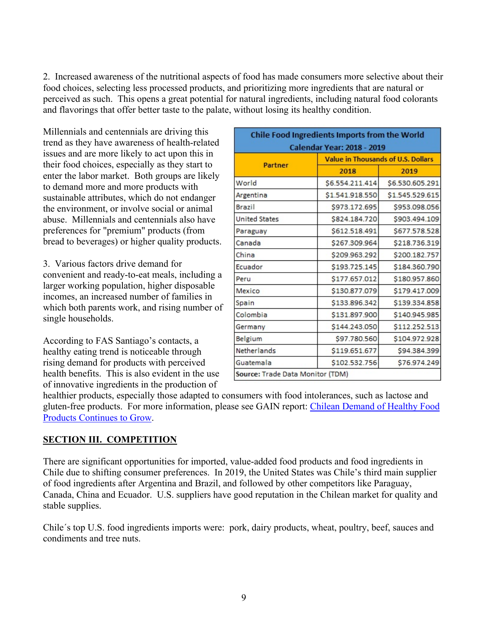2. Increased awareness of the nutritional aspects of food has made consumers more selective about their food choices, selecting less processed products, and prioritizing more ingredients that are natural or perceived as such. This opens a great potential for natural ingredients, including natural food colorants and flavorings that offer better taste to the palate, without losing its healthy condition.

Millennials and centennials are driving this trend as they have awareness of health-related issues and are more likely to act upon this in their food choices, especially as they start to enter the labor market. Both groups are likely to demand more and more products with sustainable attributes, which do not endanger the environment, or involve social or animal abuse. Millennials and centennials also have preferences for "premium" products (from bread to beverages) or higher quality products.

3. Various factors drive demand for convenient and ready-to-eat meals, including a larger working population, higher disposable incomes, an increased number of families in which both parents work, and rising number of single households.

According to FAS Santiago's contacts, a healthy eating trend is noticeable through rising demand for products with perceived health benefits. This is also evident in the use of innovative ingredients in the production of

| Chile Food Ingredients Imports from the World |                                           |                 |  |
|-----------------------------------------------|-------------------------------------------|-----------------|--|
| <b>Calendar Year: 2018 - 2019</b>             |                                           |                 |  |
| <b>Partner</b>                                | <b>Value in Thousands of U.S. Dollars</b> |                 |  |
|                                               | 2018                                      | 2019            |  |
| World                                         | \$6.554.211.414                           | \$6.530.605.291 |  |
| Argentina                                     | \$1.541.918.550                           | \$1.545.529.615 |  |
| Brazil                                        | \$973.172.695                             | \$953.098.056   |  |
| <b>United States</b>                          | \$824.184.720                             | \$903.494.109   |  |
| Paraguay                                      | \$612.518.491                             | \$677.578.528   |  |
| Canada                                        | \$267.309.964                             | \$218.736.319   |  |
| China                                         | \$209.963.292                             | \$200.182.757   |  |
| Ecuador                                       | \$193.725.145                             | \$184.360.790   |  |
| Peru                                          | \$177.657.012                             | \$180.957.860   |  |
| Mexico                                        | \$130.877.079                             | \$179.417.009   |  |
| Spain                                         | \$133.896.342                             | \$139.334.858   |  |
| Colombia                                      | \$131.897.900                             | \$140.945.985   |  |
| Germany                                       | \$144.243.050                             | \$112.252.513   |  |
| Belgium                                       | \$97.780.560                              | \$104.972.928   |  |
| Netherlands                                   | \$119.651.677                             | \$94.384.399    |  |
| Guatemala                                     | \$102.532.756                             | \$76.974.249    |  |
| Source: Trade Data Monitor (TDM)              |                                           |                 |  |

healthier products, especially those adapted to consumers with food intolerances, such as lactose and gluten-free products. For more information, please see GAIN report: [Chilean Demand of Healthy Food](https://gain.fas.usda.gov/Recent%20GAIN%20Publications/Chilean%20Demand%20for%20Healthy%20Food%20Products%20Continues%20to%20%20Grow_Santiago_Chile_2-26-2018.pdf)  [Products Continues to Grow](https://gain.fas.usda.gov/Recent%20GAIN%20Publications/Chilean%20Demand%20for%20Healthy%20Food%20Products%20Continues%20to%20%20Grow_Santiago_Chile_2-26-2018.pdf).

#### **SECTION III. COMPETITION**

There are significant opportunities for imported, value-added food products and food ingredients in Chile due to shifting consumer preferences. In 2019, the United States was Chile's third main supplier of food ingredients after Argentina and Brazil, and followed by other competitors like Paraguay, Canada, China and Ecuador. U.S. suppliers have good reputation in the Chilean market for quality and stable supplies.

Chile´s top U.S. food ingredients imports were: pork, dairy products, wheat, poultry, beef, sauces and condiments and tree nuts.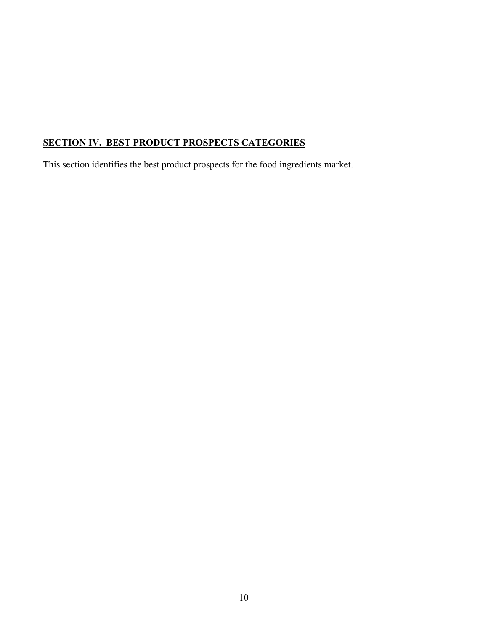# **SECTION IV. BEST PRODUCT PROSPECTS CATEGORIES**

This section identifies the best product prospects for the food ingredients market.